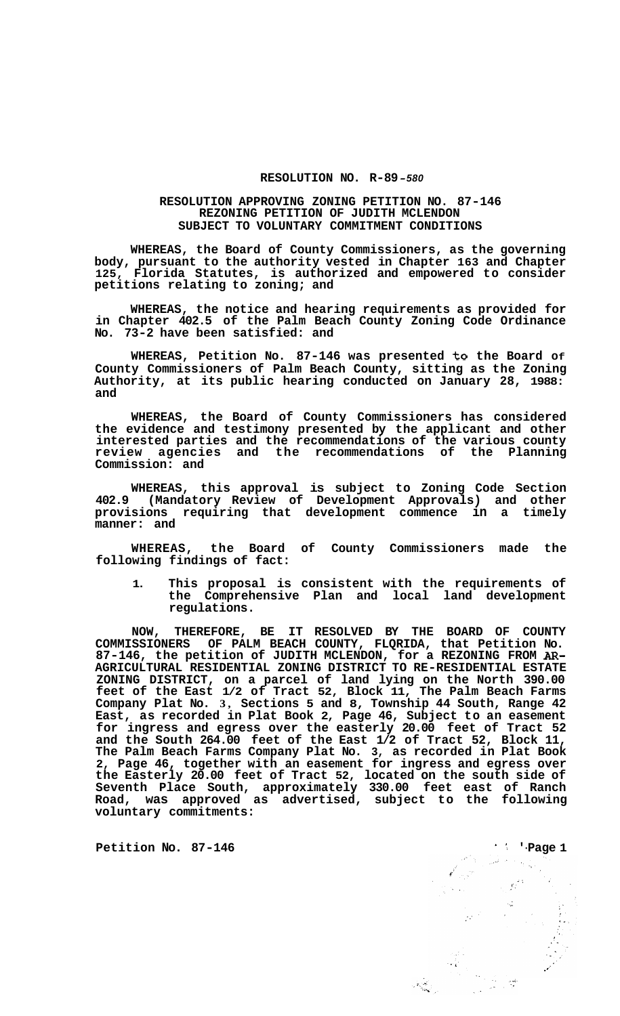## **RESOLUTION NO. R-89** *-580*

## **RESOLUTION APPROVING ZONING PETITION NO. 87-146 REZONING PETITION OF JUDITH MCLENDON SUBJECT TO VOLUNTARY COMMITMENT CONDITIONS**

**WHEREAS, the Board of County Commissioners, as the governing body, pursuant to the authority vested in Chapter 163 and Chapter 125, Florida Statutes, is authorized and empowered to consider petitions relating to zoning; and** 

**WHEREAS, the notice and hearing requirements as provided for in Chapter 402.5 of the Palm Beach County Zoning Code Ordinance No. 73-2 have been satisfied: and** 

**WHEREAS, Petition No. 87-146 was presented to the Board Of County Commissioners of Palm Beach County, sitting as the Zoning Authority, at its public hearing conducted on January 28, 1988: and** 

**WHEREAS, the Board of County Commissioners has considered the evidence and testimony presented by the applicant and other interested parties and the recommendations of the various county review agencies and the recommendations of the Planning Commission: and** 

**WHEREAS, this approval is subject to Zoning Code Section 402.9 (Mandatory Review of Development Approvals) and other provisions requiring that development commence in a timely manner: and** 

**WHEREAS, the Board of County Commissioners made the following findings of fact:** 

**1. This proposal is consistent with the requirements of the Comprehensive Plan and local land development regulations.** 

**NOW, THEREFORE, BE IT RESOLVED BY THE BOARD OF COUNTY COMMISSIONERS OF PALM BEACH COUNTY, FLQRIDA, that Petition No. 87-146, the petition of JUDITH MCLENDON, for a REZONING FROM AR-AGRICULTURAL RESIDENTIAL ZONING DISTRICT TO RE-RESIDENTIAL ESTATE ZONING DISTRICT, on a parcel of land lying on the North 390.00 feet of the East 1/2 of Tract 52, Block 11, The Palm Beach Farms Company Plat No. 3, Sections 5 and 8, Township 44 South, Range 42 East, as recorded in Plat Book 2, Page 46, Subject to an easement for ingress and egress over the easterly 20.00 feet of Tract 52 and the South 264.00 feet of the East 1/2 of Tract 52, Block 11, The Palm Beach Farms Company Plat No. 3, as recorded in Plat Book 2, Page 46, together with an easement for ingress and egress over the Easterly 20.00 feet of Tract 52, located on the south side of Seventh Place South, approximately 330.00 feet east of Ranch Road, was approved as advertised, subject to the following voluntary commitments:**